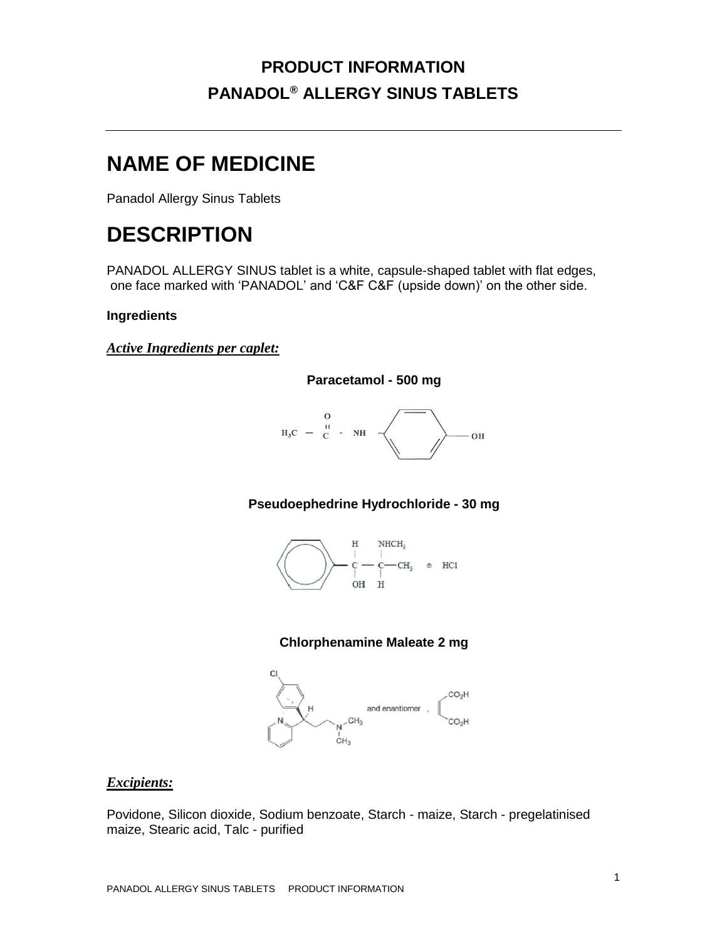# **NAME OF MEDICINE**

Panadol Allergy Sinus Tablets

# **DESCRIPTION**

PANADOL ALLERGY SINUS tablet is a white, capsule-shaped tablet with flat edges, one face marked with 'PANADOL' and 'C&F C&F (upside down)' on the other side.

### **Ingredients**

*Active Ingredients per caplet:*



**Paracetamol - 500 mg**

### **Pseudoephedrine Hydrochloride - 30 mg**



### **Chlorphenamine Maleate 2 mg**



#### *Excipients:*

Povidone, Silicon dioxide, Sodium benzoate, Starch - maize, Starch - pregelatinised maize, Stearic acid, Talc - purified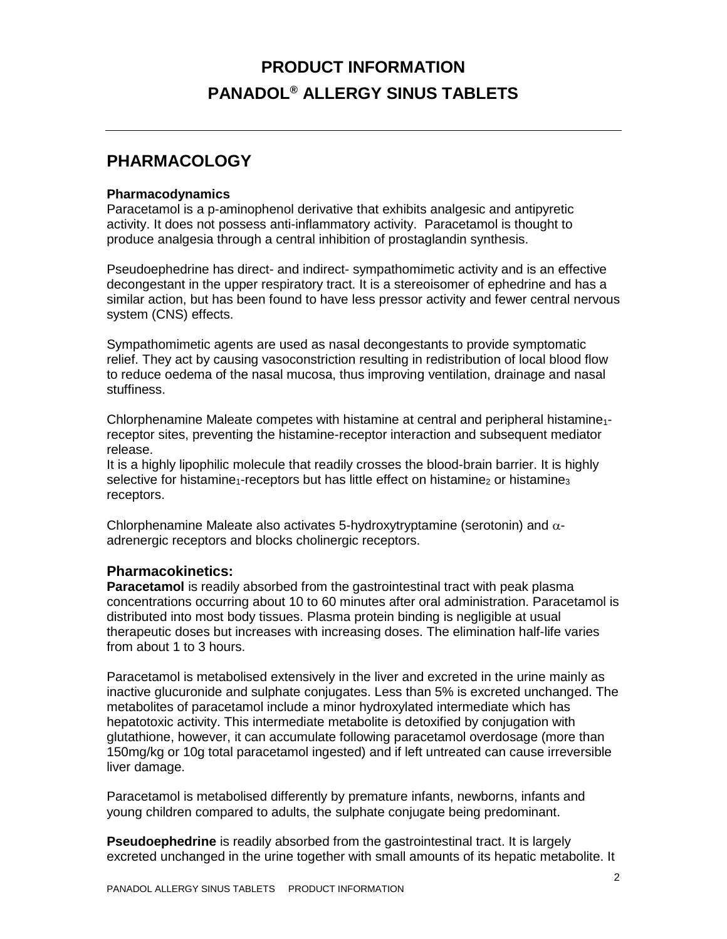## **PHARMACOLOGY**

#### **Pharmacodynamics**

Paracetamol is a p-aminophenol derivative that exhibits analgesic and antipyretic activity. It does not possess anti-inflammatory activity. Paracetamol is thought to produce analgesia through a central inhibition of prostaglandin synthesis.

Pseudoephedrine has direct- and indirect- sympathomimetic activity and is an effective decongestant in the upper respiratory tract. It is a stereoisomer of ephedrine and has a similar action, but has been found to have less pressor activity and fewer central nervous system (CNS) effects.

Sympathomimetic agents are used as nasal decongestants to provide symptomatic relief. They act by causing vasoconstriction resulting in redistribution of local blood flow to reduce oedema of the nasal mucosa, thus improving ventilation, drainage and nasal stuffiness.

Chlorphenamine Maleate competes with histamine at central and peripheral histamine<sub>1</sub>receptor sites, preventing the histamine-receptor interaction and subsequent mediator release.

It is a highly lipophilic molecule that readily crosses the blood-brain barrier. It is highly selective for histamine<sub>1</sub>-receptors but has little effect on histamine<sub>2</sub> or histamine<sub>3</sub> receptors.

Chlorphenamine Maleate also activates 5-hydroxytryptamine (serotonin) and  $\alpha$ adrenergic receptors and blocks cholinergic receptors.

### **Pharmacokinetics:**

**Paracetamol** is readily absorbed from the gastrointestinal tract with peak plasma concentrations occurring about 10 to 60 minutes after oral administration. Paracetamol is distributed into most body tissues. Plasma protein binding is negligible at usual therapeutic doses but increases with increasing doses. The elimination half-life varies from about 1 to 3 hours.

Paracetamol is metabolised extensively in the liver and excreted in the urine mainly as inactive glucuronide and sulphate conjugates. Less than 5% is excreted unchanged. The metabolites of paracetamol include a minor hydroxylated intermediate which has hepatotoxic activity. This intermediate metabolite is detoxified by conjugation with glutathione, however, it can accumulate following paracetamol overdosage (more than 150mg/kg or 10g total paracetamol ingested) and if left untreated can cause irreversible liver damage.

Paracetamol is metabolised differently by premature infants, newborns, infants and young children compared to adults, the sulphate conjugate being predominant.

**Pseudoephedrine** is readily absorbed from the gastrointestinal tract. It is largely excreted unchanged in the urine together with small amounts of its hepatic metabolite. It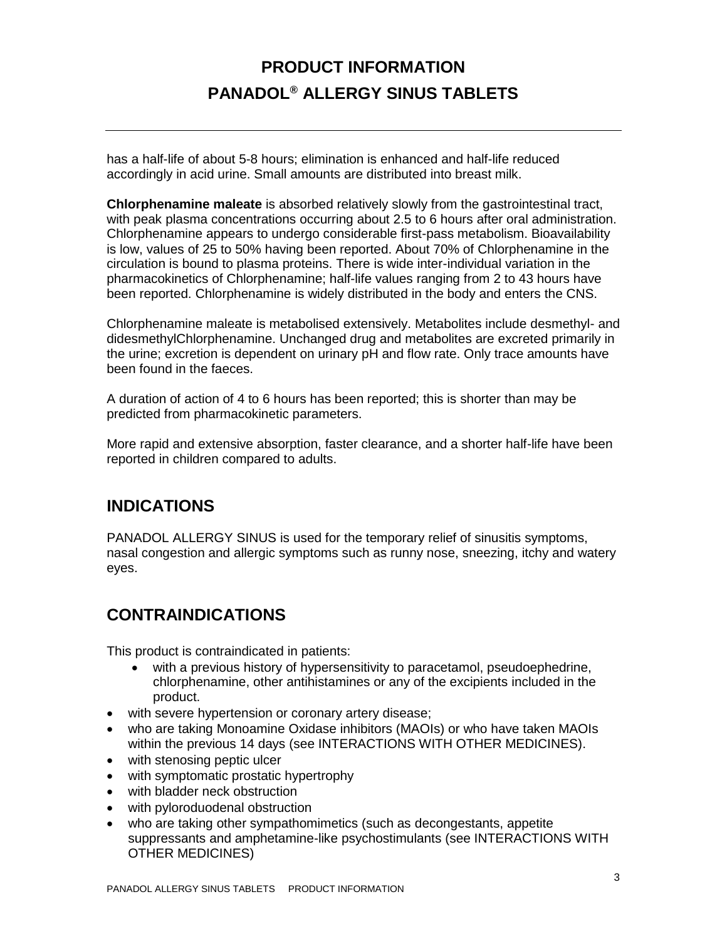has a half-life of about 5-8 hours; elimination is enhanced and half-life reduced accordingly in acid urine. Small amounts are distributed into breast milk.

**Chlorphenamine maleate** is absorbed relatively slowly from the gastrointestinal tract, with peak plasma concentrations occurring about 2.5 to 6 hours after oral administration. Chlorphenamine appears to undergo considerable first-pass metabolism. Bioavailability is low, values of 25 to 50% having been reported. About 70% of Chlorphenamine in the circulation is bound to plasma proteins. There is wide inter-individual variation in the pharmacokinetics of Chlorphenamine; half-life values ranging from 2 to 43 hours have been reported. Chlorphenamine is widely distributed in the body and enters the CNS.

Chlorphenamine maleate is metabolised extensively. Metabolites include desmethyl- and didesmethylChlorphenamine. Unchanged drug and metabolites are excreted primarily in the urine; excretion is dependent on urinary pH and flow rate. Only trace amounts have been found in the faeces.

A duration of action of 4 to 6 hours has been reported; this is shorter than may be predicted from pharmacokinetic parameters.

More rapid and extensive absorption, faster clearance, and a shorter half-life have been reported in children compared to adults.

## **INDICATIONS**

PANADOL ALLERGY SINUS is used for the temporary relief of sinusitis symptoms, nasal congestion and allergic symptoms such as runny nose, sneezing, itchy and watery eyes.

## **CONTRAINDICATIONS**

This product is contraindicated in patients:

- with a previous history of hypersensitivity to paracetamol, pseudoephedrine, chlorphenamine, other antihistamines or any of the excipients included in the product.
- with severe hypertension or coronary artery disease;
- who are taking Monoamine Oxidase inhibitors (MAOIs) or who have taken MAOIs within the previous 14 days (see INTERACTIONS WITH OTHER MEDICINES).
- with stenosing peptic ulcer
- with symptomatic prostatic hypertrophy
- with bladder neck obstruction
- with pyloroduodenal obstruction
- who are taking other sympathomimetics (such as decongestants, appetite suppressants and amphetamine-like psychostimulants (see INTERACTIONS WITH OTHER MEDICINES)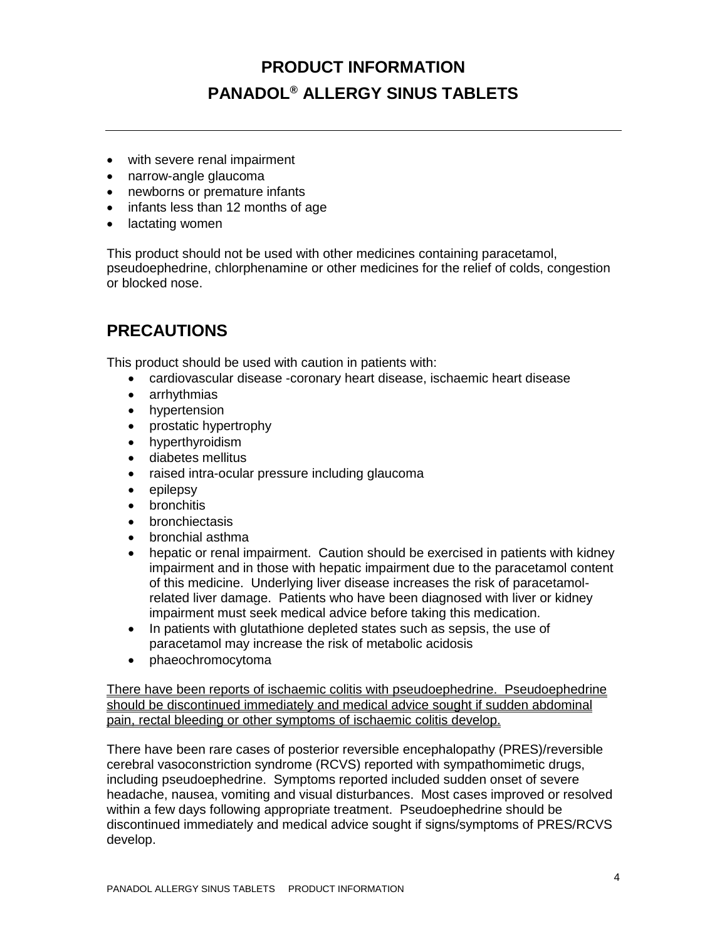- with severe renal impairment
- narrow-angle glaucoma
- newborns or premature infants
- infants less than 12 months of age
- lactating women

This product should not be used with other medicines containing paracetamol, pseudoephedrine, chlorphenamine or other medicines for the relief of colds, congestion or blocked nose.

## **PRECAUTIONS**

This product should be used with caution in patients with:

- cardiovascular disease -coronary heart disease, ischaemic heart disease
- arrhythmias
- hypertension
- prostatic hypertrophy
- hyperthyroidism
- diabetes mellitus
- raised intra-ocular pressure including glaucoma
- epilepsy
- bronchitis
- bronchiectasis
- bronchial asthma
- hepatic or renal impairment. Caution should be exercised in patients with kidney impairment and in those with hepatic impairment due to the paracetamol content of this medicine. Underlying liver disease increases the risk of paracetamolrelated liver damage. Patients who have been diagnosed with liver or kidney impairment must seek medical advice before taking this medication.
- In patients with glutathione depleted states such as sepsis, the use of paracetamol may increase the risk of metabolic acidosis
- phaeochromocytoma

There have been reports of ischaemic colitis with pseudoephedrine. Pseudoephedrine should be discontinued immediately and medical advice sought if sudden abdominal pain, rectal bleeding or other symptoms of ischaemic colitis develop.

There have been rare cases of posterior reversible encephalopathy (PRES)/reversible cerebral vasoconstriction syndrome (RCVS) reported with sympathomimetic drugs, including pseudoephedrine. Symptoms reported included sudden onset of severe headache, nausea, vomiting and visual disturbances. Most cases improved or resolved within a few days following appropriate treatment. Pseudoephedrine should be discontinued immediately and medical advice sought if signs/symptoms of PRES/RCVS develop.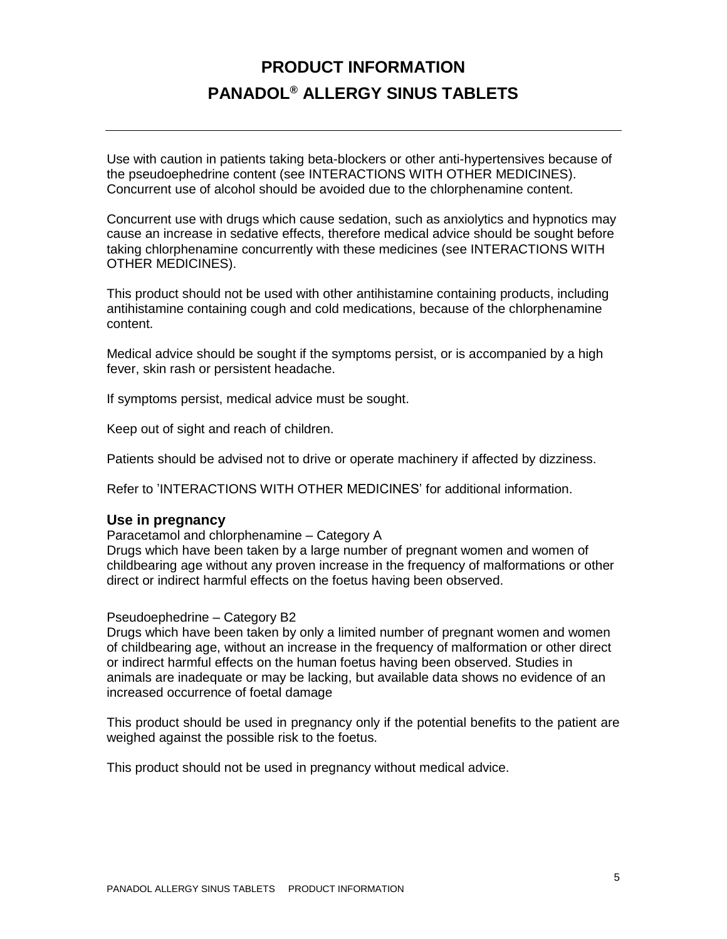Use with caution in patients taking beta-blockers or other anti-hypertensives because of the pseudoephedrine content (see INTERACTIONS WITH OTHER MEDICINES). Concurrent use of alcohol should be avoided due to the chlorphenamine content.

Concurrent use with drugs which cause sedation, such as anxiolytics and hypnotics may cause an increase in sedative effects, therefore medical advice should be sought before taking chlorphenamine concurrently with these medicines (see INTERACTIONS WITH OTHER MEDICINES).

This product should not be used with other antihistamine containing products, including antihistamine containing cough and cold medications, because of the chlorphenamine content.

Medical advice should be sought if the symptoms persist, or is accompanied by a high fever, skin rash or persistent headache.

If symptoms persist, medical advice must be sought.

Keep out of sight and reach of children.

Patients should be advised not to drive or operate machinery if affected by dizziness.

Refer to 'INTERACTIONS WITH OTHER MEDICINES' for additional information.

#### **Use in pregnancy**

Paracetamol and chlorphenamine – Category A

Drugs which have been taken by a large number of pregnant women and women of childbearing age without any proven increase in the frequency of malformations or other direct or indirect harmful effects on the foetus having been observed.

#### Pseudoephedrine – Category B2

Drugs which have been taken by only a limited number of pregnant women and women of childbearing age, without an increase in the frequency of malformation or other direct or indirect harmful effects on the human foetus having been observed. Studies in animals are inadequate or may be lacking, but available data shows no evidence of an increased occurrence of foetal damage

This product should be used in pregnancy only if the potential benefits to the patient are weighed against the possible risk to the foetus.

This product should not be used in pregnancy without medical advice.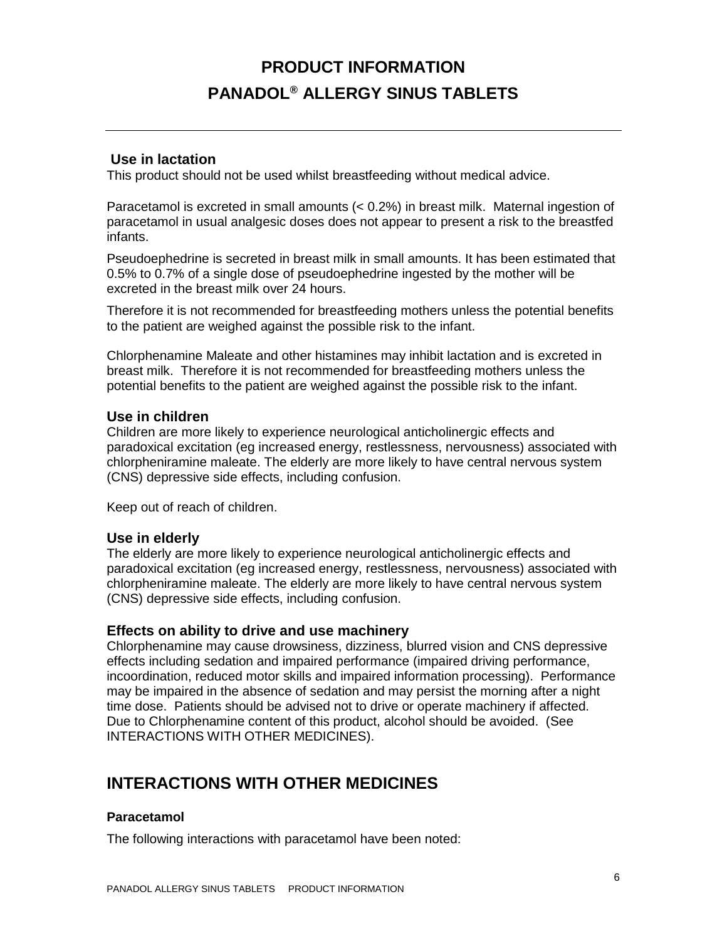### **Use in lactation**

This product should not be used whilst breastfeeding without medical advice.

Paracetamol is excreted in small amounts (< 0.2%) in breast milk. Maternal ingestion of paracetamol in usual analgesic doses does not appear to present a risk to the breastfed infants.

Pseudoephedrine is secreted in breast milk in small amounts. It has been estimated that 0.5% to 0.7% of a single dose of pseudoephedrine ingested by the mother will be excreted in the breast milk over 24 hours.

Therefore it is not recommended for breastfeeding mothers unless the potential benefits to the patient are weighed against the possible risk to the infant.

Chlorphenamine Maleate and other histamines may inhibit lactation and is excreted in breast milk. Therefore it is not recommended for breastfeeding mothers unless the potential benefits to the patient are weighed against the possible risk to the infant.

#### **Use in children**

Children are more likely to experience neurological anticholinergic effects and paradoxical excitation (eg increased energy, restlessness, nervousness) associated with chlorpheniramine maleate. The elderly are more likely to have central nervous system (CNS) depressive side effects, including confusion.

Keep out of reach of children.

### **Use in elderly**

The elderly are more likely to experience neurological anticholinergic effects and paradoxical excitation (eg increased energy, restlessness, nervousness) associated with chlorpheniramine maleate. The elderly are more likely to have central nervous system (CNS) depressive side effects, including confusion.

### **Effects on ability to drive and use machinery**

Chlorphenamine may cause drowsiness, dizziness, blurred vision and CNS depressive effects including sedation and impaired performance (impaired driving performance, incoordination, reduced motor skills and impaired information processing). Performance may be impaired in the absence of sedation and may persist the morning after a night time dose. Patients should be advised not to drive or operate machinery if affected. Due to Chlorphenamine content of this product, alcohol should be avoided. (See INTERACTIONS WITH OTHER MEDICINES).

## **INTERACTIONS WITH OTHER MEDICINES**

#### **Paracetamol**

The following interactions with paracetamol have been noted: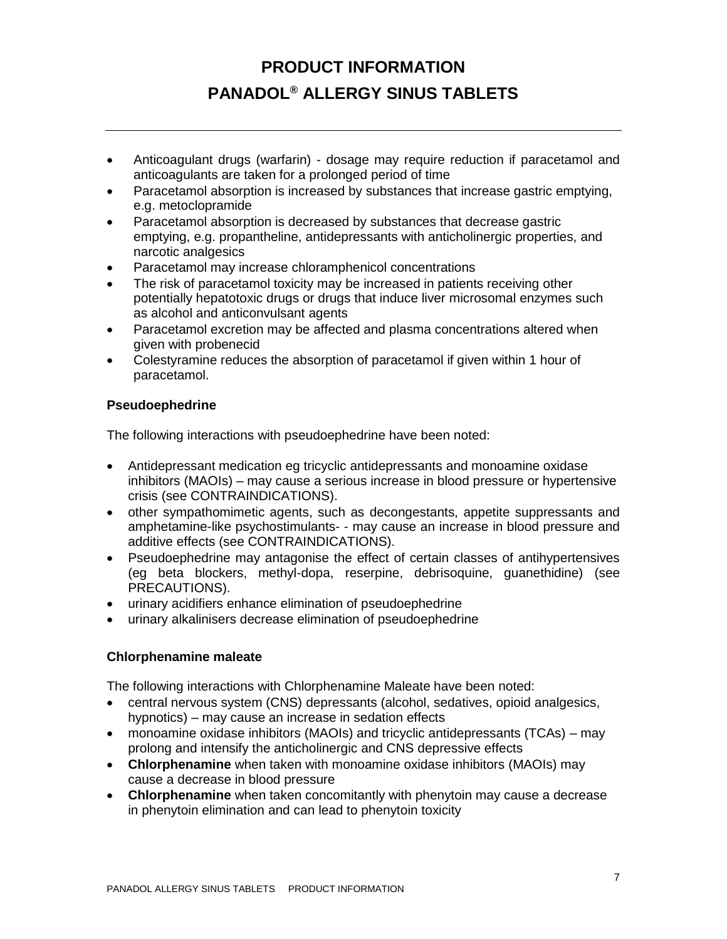- Anticoagulant drugs (warfarin) dosage may require reduction if paracetamol and anticoagulants are taken for a prolonged period of time
- Paracetamol absorption is increased by substances that increase gastric emptying, e.g. metoclopramide
- Paracetamol absorption is decreased by substances that decrease gastric emptying, e.g. propantheline, antidepressants with anticholinergic properties, and narcotic analgesics
- Paracetamol may increase chloramphenicol concentrations
- The risk of paracetamol toxicity may be increased in patients receiving other potentially hepatotoxic drugs or drugs that induce liver microsomal enzymes such as alcohol and anticonvulsant agents
- Paracetamol excretion may be affected and plasma concentrations altered when given with probenecid
- Colestyramine reduces the absorption of paracetamol if given within 1 hour of paracetamol.

### **Pseudoephedrine**

The following interactions with pseudoephedrine have been noted:

- Antidepressant medication eg tricyclic antidepressants and monoamine oxidase inhibitors (MAOIs) – may cause a serious increase in blood pressure or hypertensive crisis (see CONTRAINDICATIONS).
- other sympathomimetic agents, such as decongestants, appetite suppressants and amphetamine-like psychostimulants- - may cause an increase in blood pressure and additive effects (see CONTRAINDICATIONS).
- Pseudoephedrine may antagonise the effect of certain classes of antihypertensives (eg beta blockers, methyl-dopa, reserpine, debrisoquine, guanethidine) (see PRECAUTIONS).
- urinary acidifiers enhance elimination of pseudoephedrine
- urinary alkalinisers decrease elimination of pseudoephedrine

### **Chlorphenamine maleate**

The following interactions with Chlorphenamine Maleate have been noted:

- central nervous system (CNS) depressants (alcohol, sedatives, opioid analgesics, hypnotics) – may cause an increase in sedation effects
- monoamine oxidase inhibitors (MAOIs) and tricyclic antidepressants (TCAs) may prolong and intensify the anticholinergic and CNS depressive effects
- **Chlorphenamine** when taken with monoamine oxidase inhibitors (MAOIs) may cause a decrease in blood pressure
- **Chlorphenamine** when taken concomitantly with phenytoin may cause a decrease in phenytoin elimination and can lead to phenytoin toxicity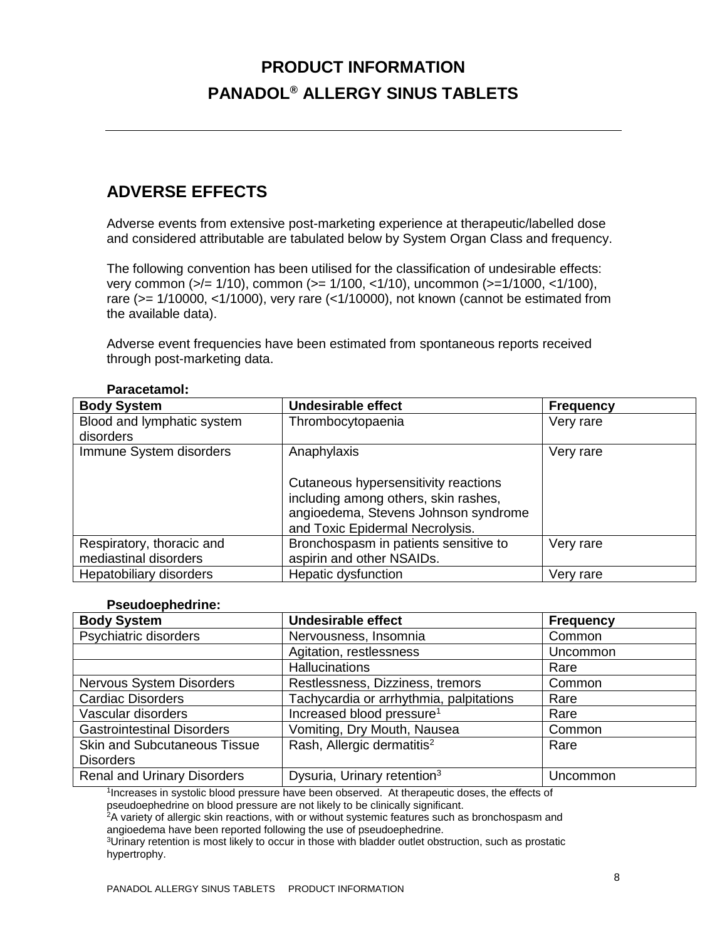# **ADVERSE EFFECTS**

Adverse events from extensive post-marketing experience at therapeutic/labelled dose and considered attributable are tabulated below by System Organ Class and frequency.

The following convention has been utilised for the classification of undesirable effects: very common (>/= 1/10), common (>= 1/100, <1/10), uncommon (>=1/1000, <1/100), rare (>= 1/10000, <1/1000), very rare (<1/10000), not known (cannot be estimated from the available data).

Adverse event frequencies have been estimated from spontaneous reports received through post-marketing data.

| <b>Body System</b>                                 | <b>Undesirable effect</b>                                                                                                                               | <b>Frequency</b> |
|----------------------------------------------------|---------------------------------------------------------------------------------------------------------------------------------------------------------|------------------|
| Blood and lymphatic system<br>disorders            | Thrombocytopaenia                                                                                                                                       | Very rare        |
| Immune System disorders                            | Anaphylaxis                                                                                                                                             | Very rare        |
|                                                    | Cutaneous hypersensitivity reactions<br>including among others, skin rashes,<br>angioedema, Stevens Johnson syndrome<br>and Toxic Epidermal Necrolysis. |                  |
| Respiratory, thoracic and<br>mediastinal disorders | Bronchospasm in patients sensitive to<br>aspirin and other NSAIDs.                                                                                      | Very rare        |
| Hepatobiliary disorders                            | Hepatic dysfunction                                                                                                                                     | Very rare        |

#### **Paracetamol:**

#### **Pseudoephedrine:**

| <b>Body System</b>                  | <b>Undesirable effect</b>               | <b>Frequency</b> |
|-------------------------------------|-----------------------------------------|------------------|
| Psychiatric disorders               | Nervousness, Insomnia                   | Common           |
|                                     | Agitation, restlessness                 | Uncommon         |
|                                     | <b>Hallucinations</b>                   | Rare             |
| Nervous System Disorders            | Restlessness, Dizziness, tremors        | Common           |
| <b>Cardiac Disorders</b>            | Tachycardia or arrhythmia, palpitations | Rare             |
| Vascular disorders                  | Increased blood pressure <sup>1</sup>   | Rare             |
| <b>Gastrointestinal Disorders</b>   | Vomiting, Dry Mouth, Nausea             | Common           |
| <b>Skin and Subcutaneous Tissue</b> | Rash, Allergic dermatitis <sup>2</sup>  | Rare             |
| <b>Disorders</b>                    |                                         |                  |
| <b>Renal and Urinary Disorders</b>  | Dysuria, Urinary retention <sup>3</sup> | Uncommon         |

1 Increases in systolic blood pressure have been observed. At therapeutic doses, the effects of

pseudoephedrine on blood pressure are not likely to be clinically significant.

<sup>2</sup>A variety of allergic skin reactions, with or without systemic features such as bronchospasm and angioedema have been reported following the use of pseudoephedrine.

<sup>3</sup>Urinary retention is most likely to occur in those with bladder outlet obstruction, such as prostatic hypertrophy.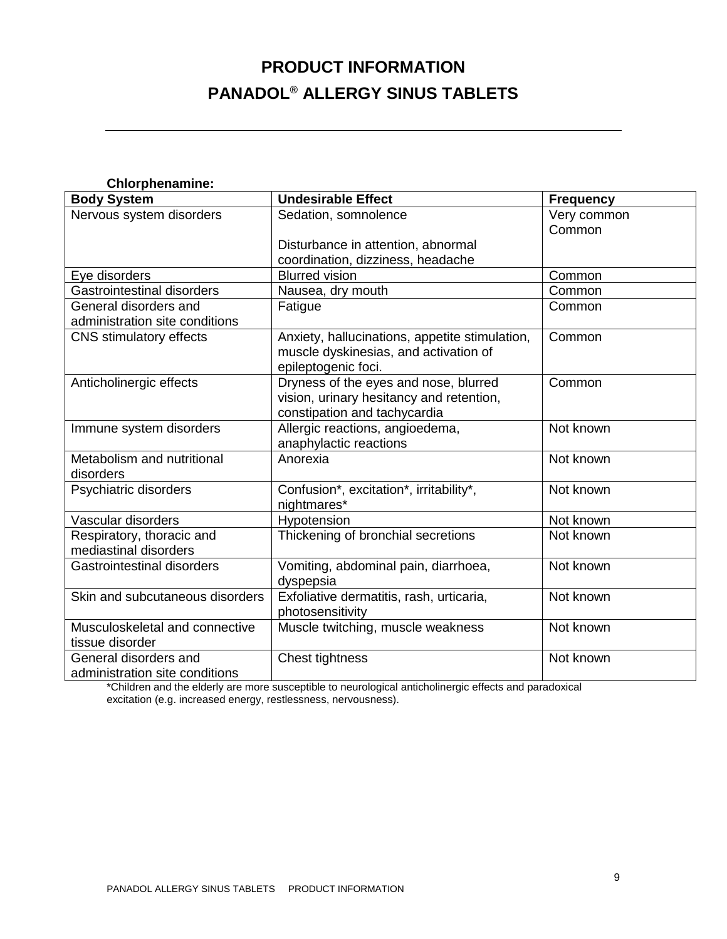| <b>Chlorphenamine:</b>            |                                                |                  |  |
|-----------------------------------|------------------------------------------------|------------------|--|
| <b>Body System</b>                | <b>Undesirable Effect</b>                      | <b>Frequency</b> |  |
| Nervous system disorders          | Sedation, somnolence                           | Very common      |  |
|                                   |                                                | Common           |  |
|                                   | Disturbance in attention, abnormal             |                  |  |
|                                   | coordination, dizziness, headache              |                  |  |
| Eye disorders                     | <b>Blurred vision</b>                          | Common           |  |
| <b>Gastrointestinal disorders</b> | Nausea, dry mouth                              | Common           |  |
| General disorders and             | Fatigue                                        | Common           |  |
| administration site conditions    |                                                |                  |  |
| <b>CNS</b> stimulatory effects    | Anxiety, hallucinations, appetite stimulation, | Common           |  |
|                                   | muscle dyskinesias, and activation of          |                  |  |
|                                   | epileptogenic foci.                            |                  |  |
| Anticholinergic effects           | Dryness of the eyes and nose, blurred          | Common           |  |
|                                   | vision, urinary hesitancy and retention,       |                  |  |
|                                   | constipation and tachycardia                   |                  |  |
| Immune system disorders           | Allergic reactions, angioedema,                | Not known        |  |
|                                   | anaphylactic reactions                         |                  |  |
| Metabolism and nutritional        | Anorexia                                       | Not known        |  |
| disorders                         |                                                |                  |  |
| Psychiatric disorders             | Confusion*, excitation*, irritability*,        | Not known        |  |
|                                   | nightmares*                                    |                  |  |
| Vascular disorders                | Hypotension                                    | Not known        |  |
| Respiratory, thoracic and         | Thickening of bronchial secretions             | Not known        |  |
| mediastinal disorders             |                                                |                  |  |
| <b>Gastrointestinal disorders</b> | Vomiting, abdominal pain, diarrhoea,           | Not known        |  |
|                                   | dyspepsia                                      |                  |  |
| Skin and subcutaneous disorders   | Exfoliative dermatitis, rash, urticaria,       | Not known        |  |
|                                   | photosensitivity                               |                  |  |
| Musculoskeletal and connective    | Muscle twitching, muscle weakness              | Not known        |  |
| tissue disorder                   |                                                |                  |  |
| General disorders and             | Chest tightness                                | Not known        |  |
| administration site conditions    |                                                |                  |  |

\*Children and the elderly are more susceptible to neurological anticholinergic effects and paradoxical excitation (e.g. increased energy, restlessness, nervousness).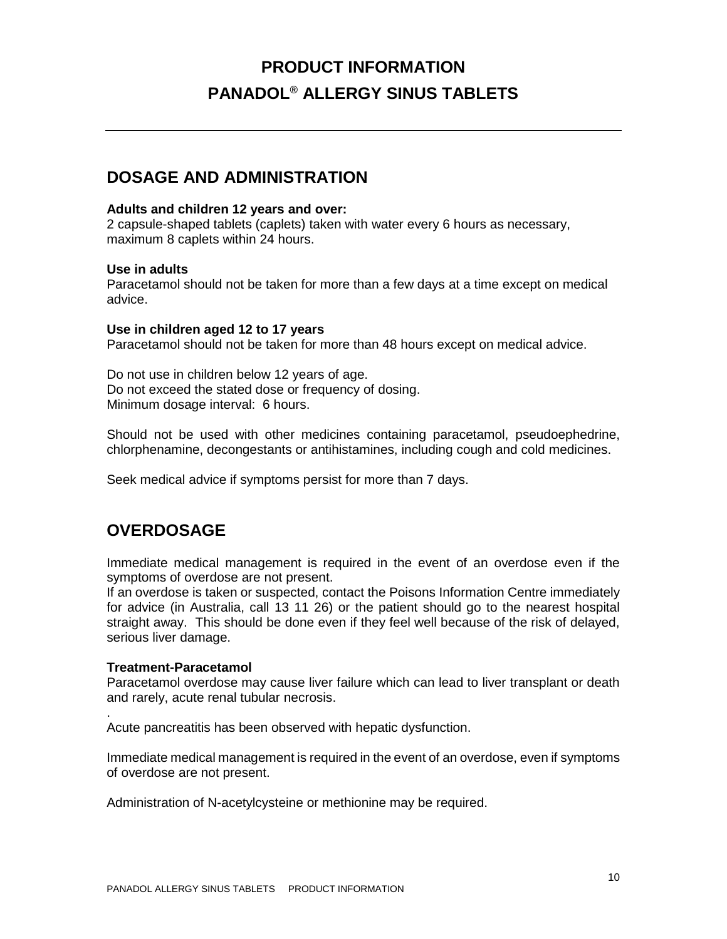## **DOSAGE AND ADMINISTRATION**

#### **Adults and children 12 years and over:**

2 capsule-shaped tablets (caplets) taken with water every 6 hours as necessary, maximum 8 caplets within 24 hours.

#### **Use in adults**

Paracetamol should not be taken for more than a few days at a time except on medical advice.

#### **Use in children aged 12 to 17 years**

Paracetamol should not be taken for more than 48 hours except on medical advice.

Do not use in children below 12 years of age. Do not exceed the stated dose or frequency of dosing. Minimum dosage interval: 6 hours.

Should not be used with other medicines containing paracetamol, pseudoephedrine, chlorphenamine, decongestants or antihistamines, including cough and cold medicines.

Seek medical advice if symptoms persist for more than 7 days.

## **OVERDOSAGE**

Immediate medical management is required in the event of an overdose even if the symptoms of overdose are not present.

If an overdose is taken or suspected, contact the Poisons Information Centre immediately for advice (in Australia, call 13 11 26) or the patient should go to the nearest hospital straight away. This should be done even if they feel well because of the risk of delayed, serious liver damage.

#### **Treatment-Paracetamol**

.

Paracetamol overdose may cause liver failure which can lead to liver transplant or death and rarely, acute renal tubular necrosis.

Acute pancreatitis has been observed with hepatic dysfunction.

Immediate medical management is required in the event of an overdose, even if symptoms of overdose are not present.

Administration of N-acetylcysteine or methionine may be required.